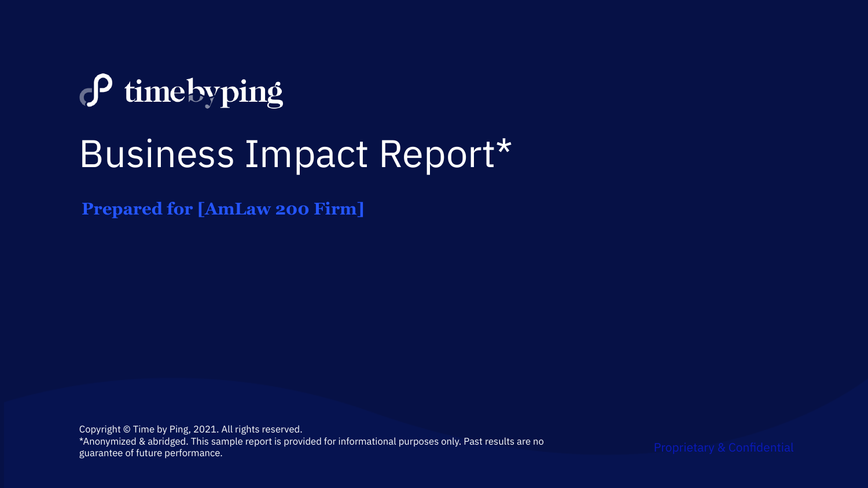# $\sigma$  time by ping Business Impact Report\*

**Prepared for [AmLaw 200 Firm]**

Copyright © Time by Ping, 2021. All rights reserved. \*Anonymized & abridged. This sample report is provided for informational purposes only. Past results are no guarantee of future performance.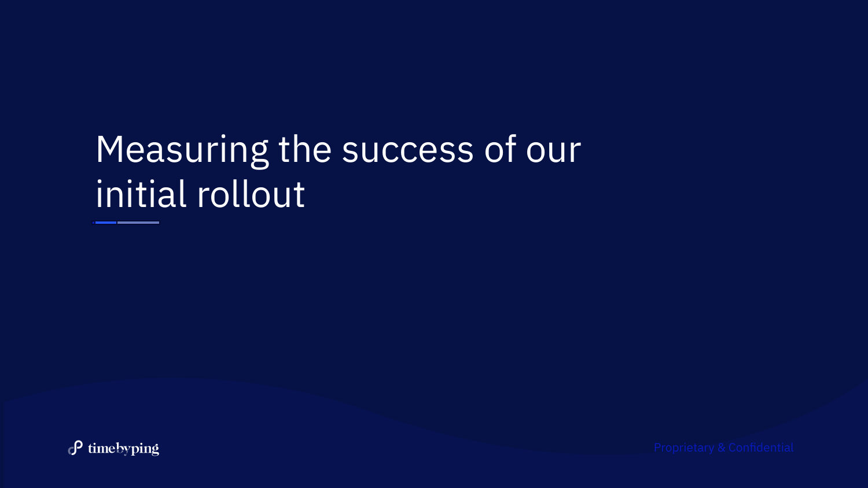## Measuring the success of our initial rollout

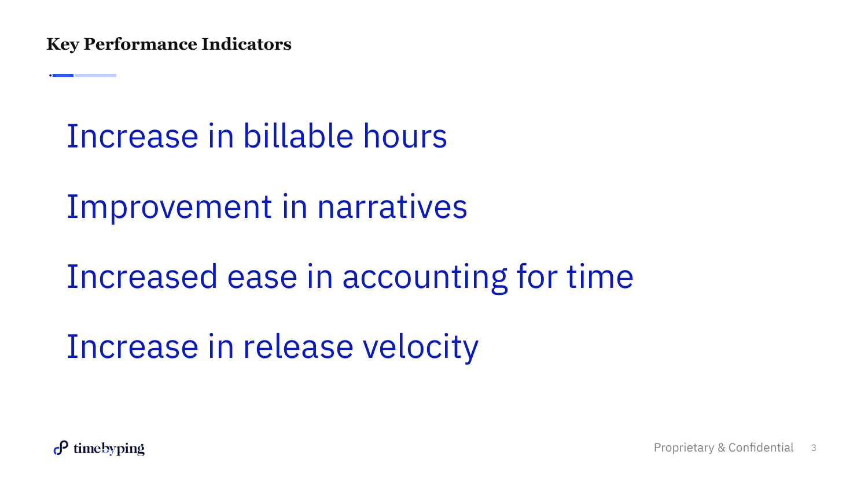Increase in billable hours

Improvement in narratives

Increased ease in accounting for time

Increase in release velocity

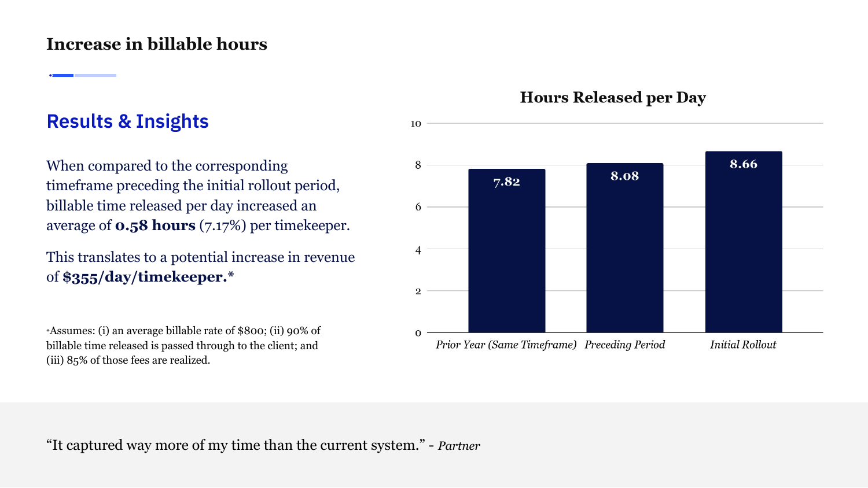#### **Increase in billable hours**

#### **Results & Insights**

When compared to the corresponding timeframe preceding the initial rollout period, billable time released per day increased an average of **0.58 hours** (7.17%) per timekeeper.

This translates to a potential increase in revenue of **\$355/day/timekeeper.\***

\*Assumes: (i) an average billable rate of \$800; (ii) 90% of billable time released is passed through to the client; and (iii) 85% of those fees are realized.

#### **Hours Released per Day**



"It captured way more of my time than the current system." - *Partner*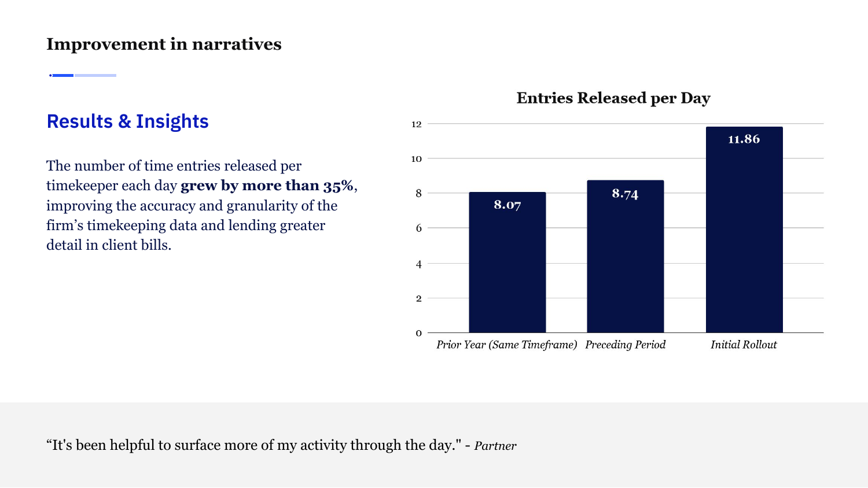#### **Improvement in narratives**

#### **Results & Insights**

The number of time entries released per timekeeper each day **grew by more than 35%**, improving the accuracy and granularity of the firm's timekeeping data and lending greater detail in client bills.

#### **Entries Released per Day**



"It's been helpful to surface more of my activity through the day." - *Partner*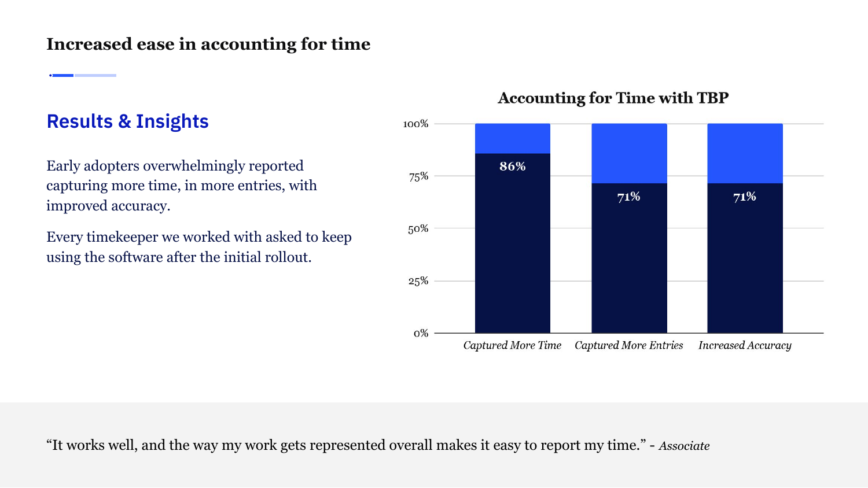#### **Increased ease in accounting for time**

#### **Results & Insights**

Early adopters overwhelmingly reported capturing more time, in more entries, with improved accuracy.

Every timekeeper we worked with asked to keep using the software after the initial rollout.

#### **Accounting for Time with TBP**



"It works well, and the way my work gets represented overall makes it easy to report my time." - *Associate*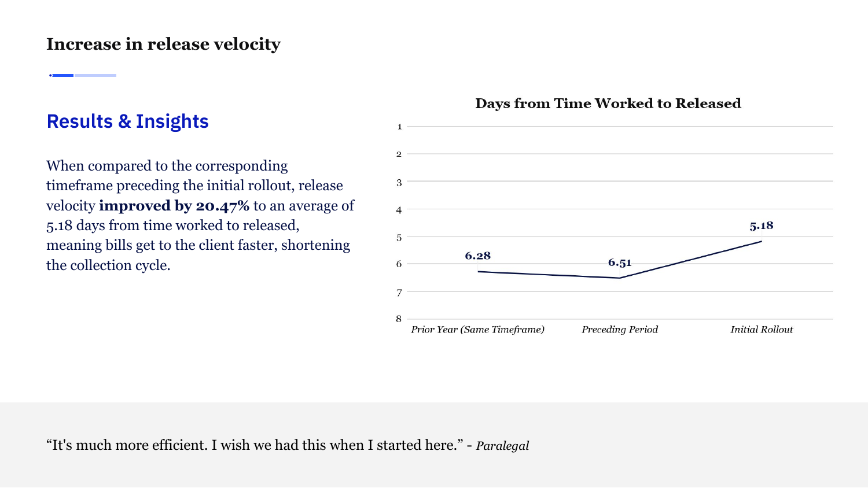#### **Increase in release velocity**

#### **Results & Insights**

When compared to the corresponding timeframe preceding the initial rollout, release velocity **improved by 20.47%** to an average of 5.18 days from time worked to released, meaning bills get to the client faster, shortening the collection cycle.

#### **Days from Time Worked to Released**



"It's much more efficient. I wish we had this when I started here." - *Paralegal*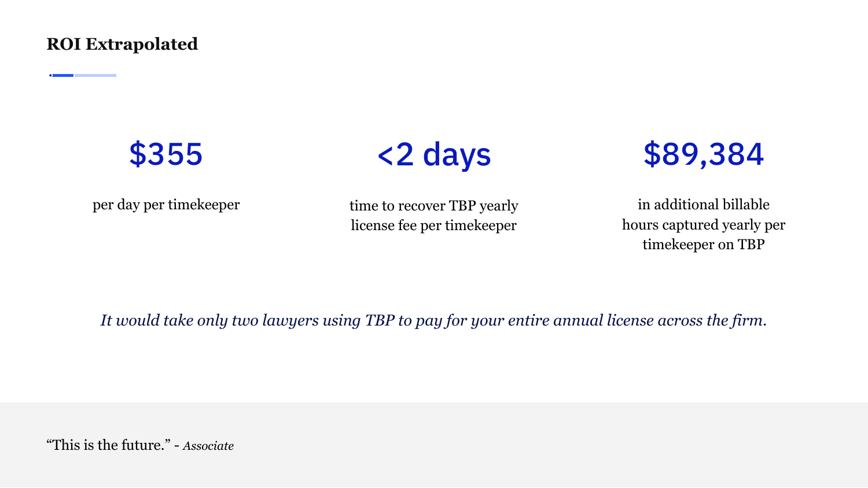**ROI Extrapolated** 

### \$355



per day per timekeeper

time to recover TBP yearly license fee per timekeeper

\$89,384

in additional billable hours captured yearly per timekeeper on TBP

*It would take only two lawyers using TBP to pay for your entire annual license across the firm.*

"This is the future." - *Associate*